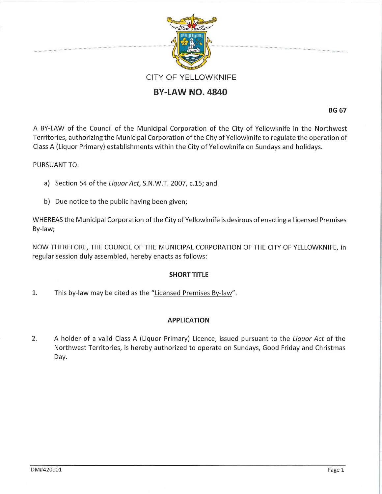

# **BY-LAW NO. 4840**

**BG 67** 

A BY-LAW of the Council of the Municipal Corporation of the City of Yellowknife in the Northwest Territories, authorizing the Municipal Corporation of the City of Yellowknife to regulate the operation of Class A (Liquor Primary) establishments within the City of Yellowknife on Sundays and holidays.

## PURSUANT TO:

.. ......... .........

- a) Section 54 of the Liquor Act, S.N.W.T. 2007, c.15; and
- b) Due notice to the public having been given;

WHEREAS the Municipal Corporation of the City of Yellowknife is desirous of enacting a Licensed Premises By-law;

NOW THEREFORE, THE COUNCIL OF THE MUNICIPAL CORPORATION OF THE CITY OF YELLOWKNIFE, in regular session duly assembled, hereby enacts as follows:

### **SHORT TITLE**

1. This by-law may be cited as the "Licensed Premises By-law".

### **APPLICATION**

2. A holder of a valid Class A (Liquor Primary) Licence, issued pursuant to the Liquor Act of the Northwest Territories, is hereby authorized to operate on Sundays, Good Friday and Christmas Day.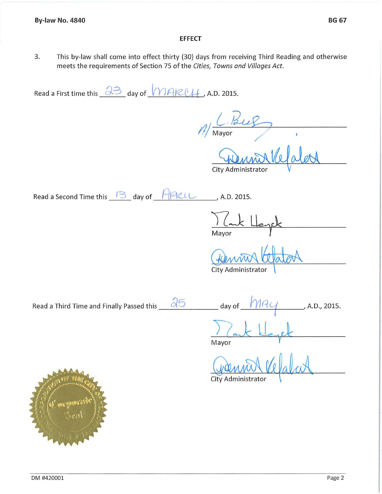### **EFFECT**

3. This by-law shall come into effect thirty (30} days from receiving Third Reading and otherwise meets the requirements of Section 75 of the *Cities, Towns and Villages Act.* 

Read a First time this  $\frac{\partial 3}{\partial 0}$  day of  $\frac{\partial 1}{\partial 0}$  A.D. 2015.

*f]* <u>C. Bug</u>

City Administrator

Read a Second Time this  $13$  day of  $A2L$ , A.D. 2015.

Mayor

City Administrator

Read a Third Time and Finally Passed this  $\frac{\partial 5}{\partial}$  day of  $\frac{\partial 1}{\partial}$ , A.D., 2015.

Mayor <u>Izant Keyek</u>

 $\omega$